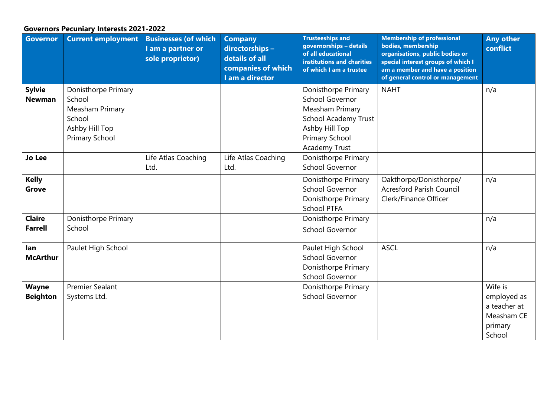## **Governors Pecuniary Interests 2021-2022**

| <b>Governor</b>                 | <b>Current employment</b>                                                                      | <b>Businesses (of which</b><br>I am a partner or<br>sole proprietor) | <b>Company</b><br>directorships -<br>details of all<br>companies of which<br>I am a director | <b>Trusteeships and</b><br>governorships - details<br>of all educational<br>institutions and charities<br>of which I am a trustee                           | <b>Membership of professional</b><br>bodies, membership<br>organisations, public bodies or<br>special interest groups of which I<br>am a member and have a position<br>of general control or management | <b>Any other</b><br>conflict                                              |
|---------------------------------|------------------------------------------------------------------------------------------------|----------------------------------------------------------------------|----------------------------------------------------------------------------------------------|-------------------------------------------------------------------------------------------------------------------------------------------------------------|---------------------------------------------------------------------------------------------------------------------------------------------------------------------------------------------------------|---------------------------------------------------------------------------|
| <b>Sylvie</b><br><b>Newman</b>  | Donisthorpe Primary<br>School<br>Measham Primary<br>School<br>Ashby Hill Top<br>Primary School |                                                                      |                                                                                              | Donisthorpe Primary<br><b>School Governor</b><br>Measham Primary<br><b>School Academy Trust</b><br>Ashby Hill Top<br>Primary School<br><b>Academy Trust</b> | <b>NAHT</b>                                                                                                                                                                                             | n/a                                                                       |
| <b>Jo Lee</b>                   |                                                                                                | Life Atlas Coaching<br>Ltd.                                          | Life Atlas Coaching<br>Ltd.                                                                  | Donisthorpe Primary<br><b>School Governor</b>                                                                                                               |                                                                                                                                                                                                         |                                                                           |
| <b>Kelly</b><br><b>Grove</b>    |                                                                                                |                                                                      |                                                                                              | Donisthorpe Primary<br>School Governor<br>Donisthorpe Primary<br><b>School PTFA</b>                                                                         | Oakthorpe/Donisthorpe/<br><b>Acresford Parish Council</b><br>Clerk/Finance Officer                                                                                                                      | n/a                                                                       |
| <b>Claire</b><br><b>Farrell</b> | Donisthorpe Primary<br>School                                                                  |                                                                      |                                                                                              | Donisthorpe Primary<br><b>School Governor</b>                                                                                                               |                                                                                                                                                                                                         | n/a                                                                       |
| lan<br><b>McArthur</b>          | Paulet High School                                                                             |                                                                      |                                                                                              | Paulet High School<br><b>School Governor</b><br>Donisthorpe Primary<br>School Governor                                                                      | <b>ASCL</b>                                                                                                                                                                                             | n/a                                                                       |
| <b>Wayne</b><br><b>Beighton</b> | <b>Premier Sealant</b><br>Systems Ltd.                                                         |                                                                      |                                                                                              | Donisthorpe Primary<br><b>School Governor</b>                                                                                                               |                                                                                                                                                                                                         | Wife is<br>employed as<br>a teacher at<br>Measham CE<br>primary<br>School |